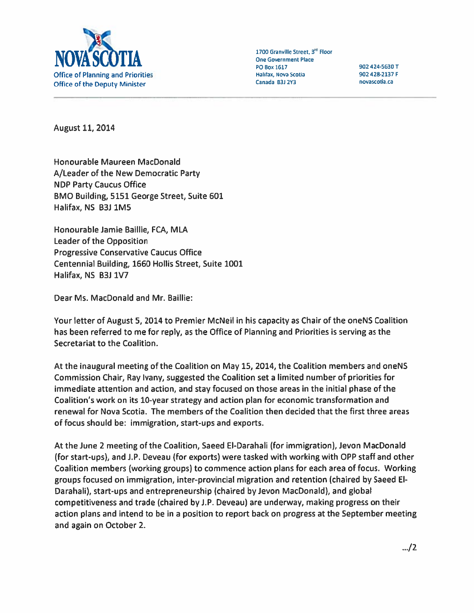

August 11, 2014

Honourable Maureen MacDonald A/Leader of the New Democratic Party NDP Party Caucus Office BMO Building, 5151 George Street, Suite 601 Halifax, NS B3J 1MS

Honourable Jamie Baillie, FCA, MLA Leader of the Opposition Progressive Conservative Caucus Office Centennial Building, 1660 Hollis Street, Suite 1001 Halifax, N5 B3i 1V7

Dear Ms. MacDonald and Mr. Baillie:

Your letter of August 5, 2014 to Premier McNeil in his capacity as Chair of the oneNS Coalition has been referred to me for reply, as the Office of Planning and Priorities is serving as the Secretariat to the Coalition.

At the inaugural meeting of the Coalition on May 15, 2014, the Coalition members and oneNS Commission Chair, Ray Ivany, suggested the Coalition set <sup>a</sup> limited number of priorities for immediate attention and action, and stay focused on those areas in the initial phase of the Coalition's work on its 10-year strategy and action plan for economic transformation and renewal for Nova Scotia. The members of the Coalition then decided that the first three areas of focus should be: immigration, start-ups and exports.

At the June 2 meeting of the Coalition, Saeed El-Darahali (for immigration), Jevon MacDonald (for start-ups), and J.P. Deveau (for exports) were tasked with working with OPP staff and other Coalition members (working groups) to commence action plans for each area of focus. Working groups focused on immigration, inter-provincial migration and retention (chaired by Saeed El Darahali), start-ups and entrepreneurship (chaired byJevon MacDonald), and global competitiveness and trade (chaired by J.P. Deveau) are underway, making progress on their action plans and intend to be in <sup>a</sup> position to repor<sup>t</sup> back on progress at the September meeting and again on October 2.